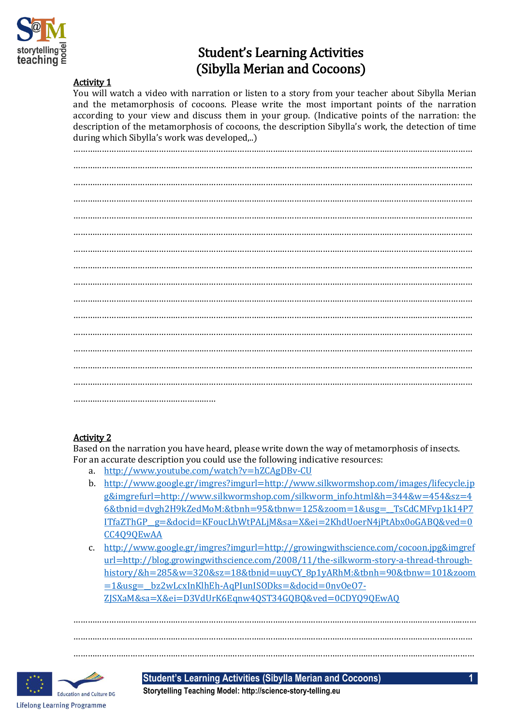

# Student's Learning Activities (Sibylla Merian and Cocoons)

#### Activity 1

You will watch a video with narration or listen to a story from your teacher about Sibylla Merian and the metamorphosis of cocoons. Please write the most important points of the narration according to your view and discuss them in your group. (Indicative points of the narration: the description of the metamorphosis of cocoons, the description Sibylla's work, the detection of time during which Sibylla's work was developed,..)

…………………………………………………………………………………………………………………………………………………… …………………………………………………………………………………………………………………………………………………… …………………………………………………………………………………………………………………………………………………… …………………………………………………………………………………………………………………………………………………… …………………………………………………………………………………………………………………………………………………… …………………………………………………………………………………………………………………………………………………… …………………………………………………………………………………………………………………………………………………… …………………………………………………………………………………………………………………………………………………… …………………………………………………………………………………………………………………………………………………… …………………………………………………………………………………………………………………………………………………… …………………………………………………………………………………………………………………………………………………… …………………………………………………………………………………………………………………………………………………… …………………………………………………………………………………………………………………………………………………… …………………………………………………………………………………………………………………………………………………… …………………………………………………………………………………………………………………………………………………… ……………………………………………………

### Activity 2

Based on the narration you have heard, please write down the way of metamorphosis of insects. For an accurate description you could use the following indicative resources:

- a. <http://www.youtube.com/watch?v=hZCAgDBv-CU>
- b. [http://www.google.gr/imgres?imgurl=http://www.silkwormshop.com/images/lifecycle.jp](http://www.google.gr/imgres?imgurl=http://www.silkwormshop.com/images/lifecycle.jpg&imgrefurl=http://www.silkwormshop.com/silkworm_info.html&h=344&w=454&sz=46&tbnid=dvgh2H9kZedMoM:&tbnh=95&tbnw=125&zoom=1&usg=__TsCdCMFvp1k14P7ITfaZThGP__g=&docid=KFoucLhWtPALjM&sa=X&ei=2KhdUoerN4jPtAbx0oGABQ&ved=0CC4Q9QEwAA) [g&imgrefurl=http://www.silkwormshop.com/silkworm\\_info.html&h=344&w=454&sz=4](http://www.google.gr/imgres?imgurl=http://www.silkwormshop.com/images/lifecycle.jpg&imgrefurl=http://www.silkwormshop.com/silkworm_info.html&h=344&w=454&sz=46&tbnid=dvgh2H9kZedMoM:&tbnh=95&tbnw=125&zoom=1&usg=__TsCdCMFvp1k14P7ITfaZThGP__g=&docid=KFoucLhWtPALjM&sa=X&ei=2KhdUoerN4jPtAbx0oGABQ&ved=0CC4Q9QEwAA) [6&tbnid=dvgh2H9kZedMoM:&tbnh=95&tbnw=125&zoom=1&usg=\\_\\_TsCdCMFvp1k14P7](http://www.google.gr/imgres?imgurl=http://www.silkwormshop.com/images/lifecycle.jpg&imgrefurl=http://www.silkwormshop.com/silkworm_info.html&h=344&w=454&sz=46&tbnid=dvgh2H9kZedMoM:&tbnh=95&tbnw=125&zoom=1&usg=__TsCdCMFvp1k14P7ITfaZThGP__g=&docid=KFoucLhWtPALjM&sa=X&ei=2KhdUoerN4jPtAbx0oGABQ&ved=0CC4Q9QEwAA) [ITfaZThGP\\_\\_g=&docid=KFoucLhWtPALjM&sa=X&ei=2KhdUoerN4jPtAbx0oGABQ&ved=0](http://www.google.gr/imgres?imgurl=http://www.silkwormshop.com/images/lifecycle.jpg&imgrefurl=http://www.silkwormshop.com/silkworm_info.html&h=344&w=454&sz=46&tbnid=dvgh2H9kZedMoM:&tbnh=95&tbnw=125&zoom=1&usg=__TsCdCMFvp1k14P7ITfaZThGP__g=&docid=KFoucLhWtPALjM&sa=X&ei=2KhdUoerN4jPtAbx0oGABQ&ved=0CC4Q9QEwAA) [CC4Q9QEwAA](http://www.google.gr/imgres?imgurl=http://www.silkwormshop.com/images/lifecycle.jpg&imgrefurl=http://www.silkwormshop.com/silkworm_info.html&h=344&w=454&sz=46&tbnid=dvgh2H9kZedMoM:&tbnh=95&tbnw=125&zoom=1&usg=__TsCdCMFvp1k14P7ITfaZThGP__g=&docid=KFoucLhWtPALjM&sa=X&ei=2KhdUoerN4jPtAbx0oGABQ&ved=0CC4Q9QEwAA)
- c. [http://www.google.gr/imgres?imgurl=http://growingwithscience.com/cocoon.jpg&imgref](http://www.google.gr/imgres?imgurl=http://growingwithscience.com/cocoon.jpg&imgrefurl=http://blog.growingwithscience.com/2008/11/the-silkworm-story-a-thread-through-history/&h=285&w=320&sz=18&tbnid=uuyCY_8p1yARhM:&tbnh=90&tbnw=101&zoom=1&usg=__bz2wLcxInKlhEh-AqPIunISODks=&docid=0nvOeO7-ZJSXaM&sa=X&ei=D3VdUrK6Eqnw4QST34GQBQ&ved=0CDYQ9QEwAQ) [url=http://blog.growingwithscience.com/2008/11/the-silkworm-story-a-thread-through](http://www.google.gr/imgres?imgurl=http://growingwithscience.com/cocoon.jpg&imgrefurl=http://blog.growingwithscience.com/2008/11/the-silkworm-story-a-thread-through-history/&h=285&w=320&sz=18&tbnid=uuyCY_8p1yARhM:&tbnh=90&tbnw=101&zoom=1&usg=__bz2wLcxInKlhEh-AqPIunISODks=&docid=0nvOeO7-ZJSXaM&sa=X&ei=D3VdUrK6Eqnw4QST34GQBQ&ved=0CDYQ9QEwAQ)[history/&h=285&w=320&sz=18&tbnid=uuyCY\\_8p1yARhM:&tbnh=90&tbnw=101&zoom](http://www.google.gr/imgres?imgurl=http://growingwithscience.com/cocoon.jpg&imgrefurl=http://blog.growingwithscience.com/2008/11/the-silkworm-story-a-thread-through-history/&h=285&w=320&sz=18&tbnid=uuyCY_8p1yARhM:&tbnh=90&tbnw=101&zoom=1&usg=__bz2wLcxInKlhEh-AqPIunISODks=&docid=0nvOeO7-ZJSXaM&sa=X&ei=D3VdUrK6Eqnw4QST34GQBQ&ved=0CDYQ9QEwAQ) [=1&usg=\\_\\_bz2wLcxInKlhEh-AqPIunISODks=&docid=0nvOeO7-](http://www.google.gr/imgres?imgurl=http://growingwithscience.com/cocoon.jpg&imgrefurl=http://blog.growingwithscience.com/2008/11/the-silkworm-story-a-thread-through-history/&h=285&w=320&sz=18&tbnid=uuyCY_8p1yARhM:&tbnh=90&tbnw=101&zoom=1&usg=__bz2wLcxInKlhEh-AqPIunISODks=&docid=0nvOeO7-ZJSXaM&sa=X&ei=D3VdUrK6Eqnw4QST34GQBQ&ved=0CDYQ9QEwAQ) [ZJSXaM&sa=X&ei=D3VdUrK6Eqnw4QST34GQBQ&ved=0CDYQ9QEwAQ](http://www.google.gr/imgres?imgurl=http://growingwithscience.com/cocoon.jpg&imgrefurl=http://blog.growingwithscience.com/2008/11/the-silkworm-story-a-thread-through-history/&h=285&w=320&sz=18&tbnid=uuyCY_8p1yARhM:&tbnh=90&tbnw=101&zoom=1&usg=__bz2wLcxInKlhEh-AqPIunISODks=&docid=0nvOeO7-ZJSXaM&sa=X&ei=D3VdUrK6Eqnw4QST34GQBQ&ved=0CDYQ9QEwAQ)

………………………………………………………………………………………………………………………………………………..…… …………………………………………………………………………………………………………………………………………………… …………………………………………………………………………………………………………………………………….………………



**Student's Learning Activities (Sibylla Merian and Cocoons) 1**

**Storytelling Teaching Model: http://science-story-telling.eu**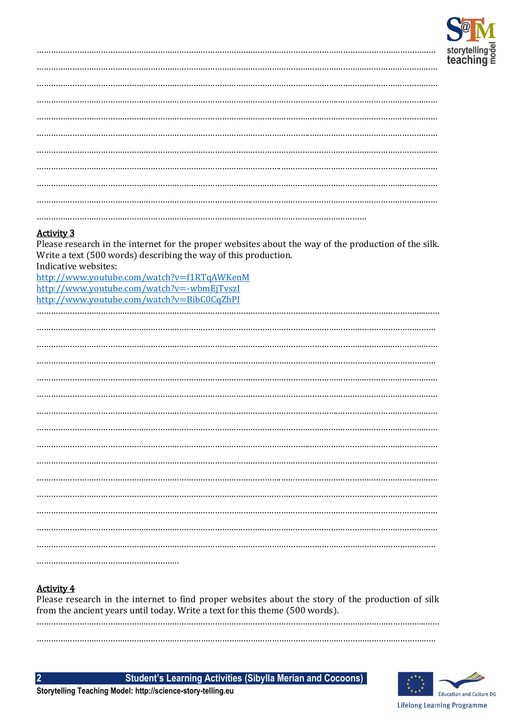

Please research in the internet for the proper websites about the way of the production of the silk. Write a text (500 words) describing the way of this production. Indicative websites:

http://www.youtube.com/watch?v=f1RTqAWKenM http://www.youtube.com/watch?v=-wbmEjTvszI http://www.youtube.com/watch?v=BibC0CqZhPI 

# **Activity 4**

 $\overline{2}$ 

Please research in the internet to find proper websites about the story of the production of silk from the ancient years until today. Write a text for this theme (500 words).

**Student's Learning Activities (Sibylla Merian and Cocoons)** 

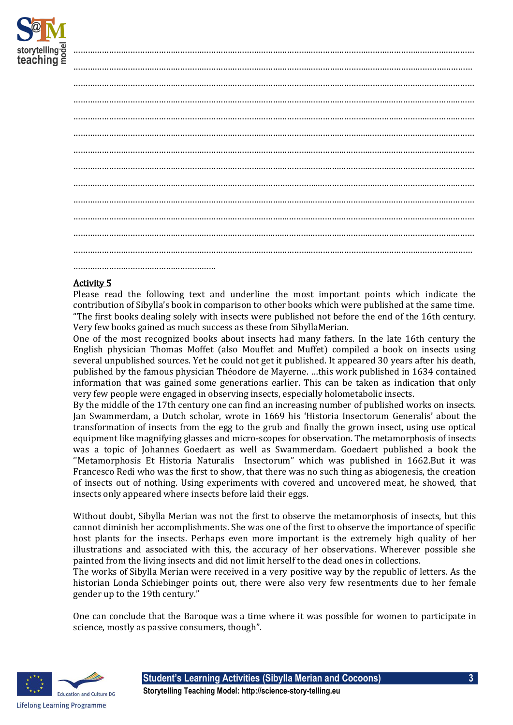

Please read the following text and underline the most important points which indicate the contribution of Sibylla's book in comparison to other books which were published at the same time. "The first books dealing solely with insects were published not before the end of the 16th century. Very few books gained as much success as these from SibyllaMerian.

One of the most recognized books about insects had many fathers. In the late 16th century the English physician Thomas Moffet (also Mouffet and Muffet) compiled a book on insects using several unpublished sources. Yet he could not get it published. It appeared 30 years after his death, published by the famous physician Théodore de Mayerne. …this work published in 1634 contained information that was gained some generations earlier. This can be taken as indication that only very few people were engaged in observing insects, especially holometabolic insects.

By the middle of the 17th century one can find an increasing number of published works on insects. Jan Swammerdam, a Dutch scholar, wrote in 1669 his 'Historia Insectorum Generalis' about the transformation of insects from the egg to the grub and finally the grown insect, using use optical equipment like magnifying glasses and micro-scopes for observation. The metamorphosis of insects was a topic of Johannes Goedaert as well as Swammerdam. Goedaert published a book the ''Metamorphosis Et Historia Naturalis Insectorum" which was published in 1662.But it was Francesco Redi who was the first to show, that there was no such thing as abiogenesis, the creation of insects out of nothing. Using experiments with covered and uncovered meat, he showed, that insects only appeared where insects before laid their eggs.

Without doubt, Sibylla Merian was not the first to observe the metamorphosis of insects, but this cannot diminish her accomplishments. She was one of the first to observe the importance of specific host plants for the insects. Perhaps even more important is the extremely high quality of her illustrations and associated with this, the accuracy of her observations. Wherever possible she painted from the living insects and did not limit herself to the dead ones in collections.

The works of Sibylla Merian were received in a very positive way by the republic of letters. As the historian Londa Schiebinger points out, there were also very few resentments due to her female gender up to the 19th century."

One can conclude that the Baroque was a time where it was possible for women to participate in science, mostly as passive consumers, though".



**Student's Learning Activities (Sibylla Merian and Cocoons) 3 Storytelling Teaching Model: http://science-story-telling.eu**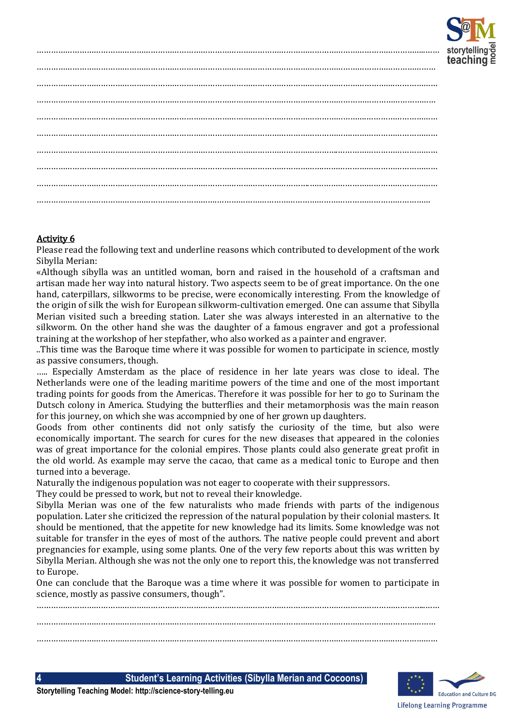

Please read the following text and underline reasons which contributed to development of the work Sibylla Merian:

«Although sibylla was an untitled woman, born and raised in the household of a craftsman and artisan made her way into natural history. Two aspects seem to be of great importance. On the one hand, caterpillars, silkworms to be precise, were economically interesting. From the knowledge of the origin of silk the wish for European silkworm-cultivation emerged. One can assume that Sibylla Merian visited such a breeding station. Later she was always interested in an alternative to the silkworm. On the other hand she was the daughter of a famous engraver and got a professional training at the workshop of her stepfather, who also worked as a painter and engraver.

..This time was the Baroque time where it was possible for women to participate in science, mostly as passive consumers, though.

….. Especially Amsterdam as the place of residence in her late years was close to ideal. The Netherlands were one of the leading maritime powers of the time and one of the most important trading points for goods from the Americas. Therefore it was possible for her to go to Surinam the Dutsch colony in America. Studying the butterflies and their metamorphosis was the main reason for this journey, on which she was accompnied by one of her grown up daughters.

Goods from other continents did not only satisfy the curiosity of the time, but also were economically important. The search for cures for the new diseases that appeared in the colonies was of great importance for the colonial empires. Those plants could also generate great profit in the old world. As example may serve the cacao, that came as a medical tonic to Europe and then turned into a beverage.

Naturally the indigenous population was not eager to cooperate with their suppressors.

They could be pressed to work, but not to reveal their knowledge.

Sibylla Merian was one of the few naturalists who made friends with parts of the indigenous population. Later she criticized the repression of the natural population by their colonial masters. It should be mentioned, that the appetite for new knowledge had its limits. Some knowledge was not suitable for transfer in the eyes of most of the authors. The native people could prevent and abort pregnancies for example, using some plants. One of the very few reports about this was written by Sibylla Merian. Although she was not the only one to report this, the knowledge was not transferred to Europe.

One can conclude that the Baroque was a time where it was possible for women to participate in science, mostly as passive consumers, though".

………………………………………………………………………………………………………………………………………………..…… …………………………………………………………………………………………………………………………………………………… …………………………………………………………………………………………………………………………………….………………

**4 Student's Learning Activities (Sibylla Merian and Cocoons)**